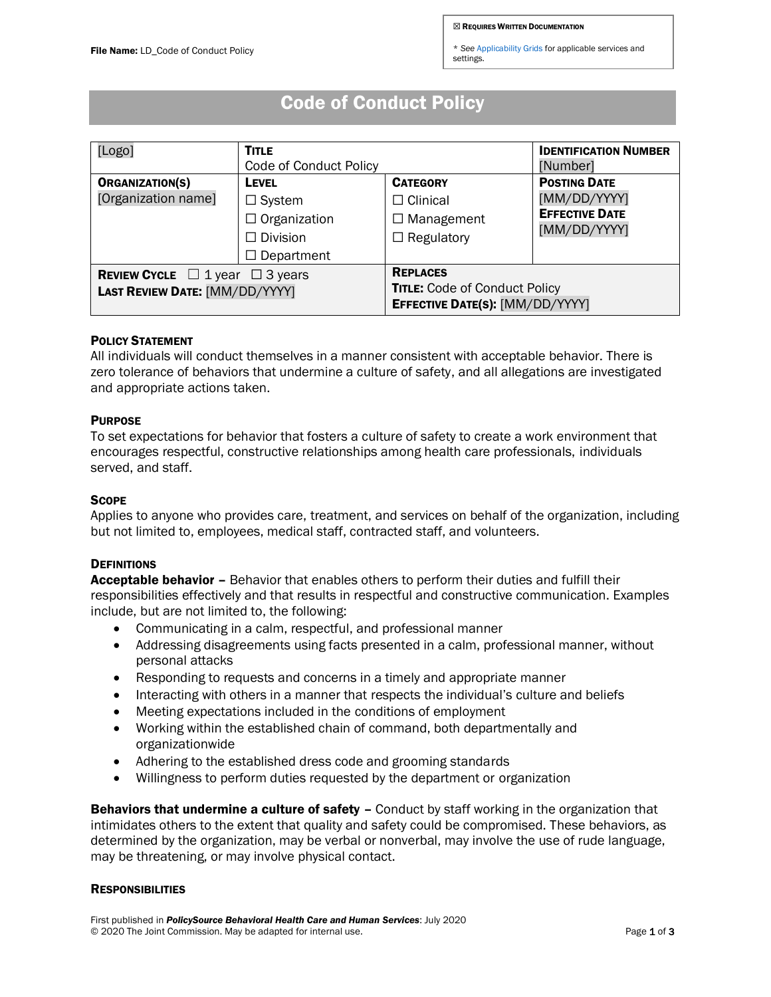\* *See* [Applicability Grids](https://www.jcrglobaled.net/PolicySourceBHC/Applicability_Grids.xlsx) for applicable services and settings.

# Code of Conduct Policy

| [Logo]                                                                             | <b>TITLE</b><br>Code of Conduct Policy                                                       |                                                                                            | <b>IDENTIFICATION NUMBER</b><br>[Number]                                     |
|------------------------------------------------------------------------------------|----------------------------------------------------------------------------------------------|--------------------------------------------------------------------------------------------|------------------------------------------------------------------------------|
| <b>ORGANIZATION(S)</b><br>[Organization name]                                      | <b>LEVEL</b><br>$\Box$ System<br>$\Box$ Organization<br>$\Box$ Division<br>$\Box$ Department | <b>CATEGORY</b><br>$\Box$ Clinical<br>$\Box$ Management<br>$\Box$ Regulatory               | <b>POSTING DATE</b><br>[MM/DD/YYYY]<br><b>EFFECTIVE DATE</b><br>[MM/DD/YYYY] |
| <b>REVIEW CYCLE</b> $\Box$ 1 year $\Box$ 3 years<br>LAST REVIEW DATE: [MM/DD/YYYY] |                                                                                              | <b>REPLACES</b><br><b>TITLE:</b> Code of Conduct Policy<br>EFFECTIVE DATE(S): [MM/DD/YYYY] |                                                                              |

## POLICY STATEMENT

All individuals will conduct themselves in a manner consistent with acceptable behavior. There is zero tolerance of behaviors that undermine a culture of safety, and all allegations are investigated and appropriate actions taken.

## **PURPOSE**

To set expectations for behavior that fosters a culture of safety to create a work environment that encourages respectful, constructive relationships among health care professionals, individuals served, and staff.

## **SCOPE**

Applies to anyone who provides care, treatment, and services on behalf of the organization, including but not limited to, employees, medical staff, contracted staff, and volunteers.

## **DEFINITIONS**

Acceptable behavior - Behavior that enables others to perform their duties and fulfill their responsibilities effectively and that results in respectful and constructive communication. Examples include, but are not limited to, the following:

- Communicating in a calm, respectful, and professional manner
- Addressing disagreements using facts presented in a calm, professional manner, without personal attacks
- Responding to requests and concerns in a timely and appropriate manner
- Interacting with others in a manner that respects the individual's culture and beliefs
- Meeting expectations included in the conditions of employment
- Working within the established chain of command, both departmentally and organizationwide
- Adhering to the established dress code and grooming standards
- Willingness to perform duties requested by the department or organization

Behaviors that undermine a culture of safety - Conduct by staff working in the organization that intimidates others to the extent that quality and safety could be compromised. These behaviors, as determined by the organization, may be verbal or nonverbal, may involve the use of rude language, may be threatening, or may involve physical contact.

#### RESPONSIBILITIES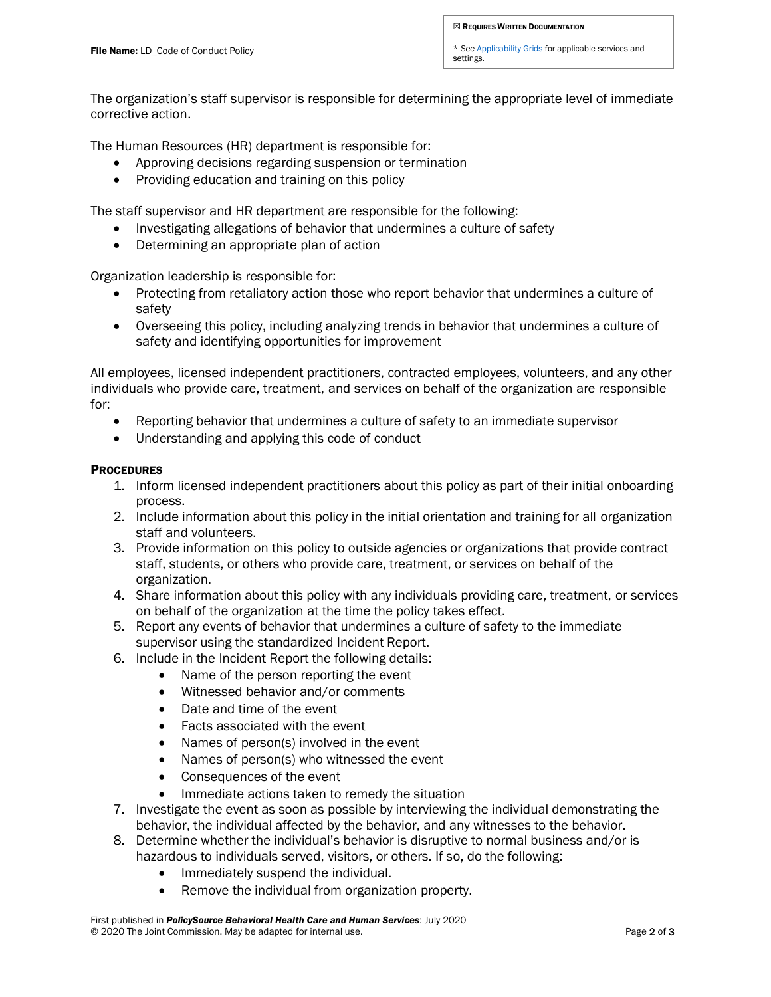\* *See* [Applicability Grids](https://www.jcrglobaled.net/PolicySourceBHC/Applicability_Grids.xlsx) for applicable services and settings.

The organization's staff supervisor is responsible for determining the appropriate level of immediate corrective action.

The Human Resources (HR) department is responsible for:

- Approving decisions regarding suspension or termination
- Providing education and training on this policy

The staff supervisor and HR department are responsible for the following:

- Investigating allegations of behavior that undermines a culture of safety
- Determining an appropriate plan of action

Organization leadership is responsible for:

- Protecting from retaliatory action those who report behavior that undermines a culture of safety
- Overseeing this policy, including analyzing trends in behavior that undermines a culture of safety and identifying opportunities for improvement

All employees, licensed independent practitioners, contracted employees, volunteers, and any other individuals who provide care, treatment, and services on behalf of the organization are responsible for:

- Reporting behavior that undermines a culture of safety to an immediate supervisor
- Understanding and applying this code of conduct

#### **PROCEDURES**

- 1. Inform licensed independent practitioners about this policy as part of their initial onboarding process.
- 2. Include information about this policy in the initial orientation and training for all organization staff and volunteers.
- 3. Provide information on this policy to outside agencies or organizations that provide contract staff, students, or others who provide care, treatment, or services on behalf of the organization.
- 4. Share information about this policy with any individuals providing care, treatment, or services on behalf of the organization at the time the policy takes effect.
- 5. Report any events of behavior that undermines a culture of safety to the immediate supervisor using the standardized Incident Report.
- 6. Include in the Incident Report the following details:
	- Name of the person reporting the event
	- Witnessed behavior and/or comments
	- Date and time of the event
	- Facts associated with the event
	- Names of person(s) involved in the event
	- Names of person(s) who witnessed the event
	- Consequences of the event
	- Immediate actions taken to remedy the situation
- 7. Investigate the event as soon as possible by interviewing the individual demonstrating the behavior, the individual affected by the behavior, and any witnesses to the behavior.
- 8. Determine whether the individual's behavior is disruptive to normal business and/or is hazardous to individuals served, visitors, or others. If so, do the following:
	- Immediately suspend the individual.
	- Remove the individual from organization property.